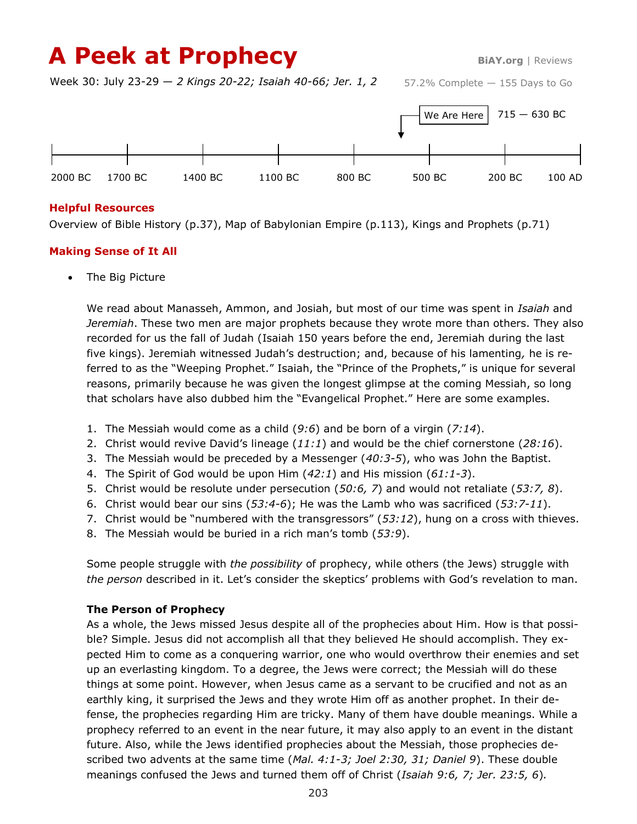# A Peek at Prophecy BiAY.org | Reviews

Week 30: July 23-29 — *2 Kings 20-22; Isaiah 40-66; Jer. 1, 2*



#### **Helpful Resources**

Overview of Bible History (p.37), Map of Babylonian Empire (p.113), Kings and Prophets (p.71)

## **Making Sense of It All**

The Big Picture

We read about Manasseh, Ammon, and Josiah, but most of our time was spent in *Isaiah* and *Jeremiah*. These two men are major prophets because they wrote more than others. They also recorded for us the fall of Judah (Isaiah 150 years before the end, Jeremiah during the last five kings). Jeremiah witnessed Judah's destruction; and, because of his lamenting*,* he is referred to as the "Weeping Prophet." Isaiah, the "Prince of the Prophets," is unique for several reasons, primarily because he was given the longest glimpse at the coming Messiah, so long that scholars have also dubbed him the "Evangelical Prophet." Here are some examples.

- 1. The Messiah would come as a child (*9:6*) and be born of a virgin (*7:14*).
- 2. Christ would revive David's lineage (*11:1*) and would be the chief cornerstone (*28:16*).
- 3. The Messiah would be preceded by a Messenger (*40:3-5*), who was John the Baptist.
- 4. The Spirit of God would be upon Him (*42:1*) and His mission (*61:1-3*).
- 5. Christ would be resolute under persecution (*50:6, 7*) and would not retaliate (*53:7, 8*).
- 6. Christ would bear our sins (*53:4-6*); He was the Lamb who was sacrificed (*53:7-11*).
- 7. Christ would be "numbered with the transgressors" (*53:12*), hung on a cross with thieves.
- 8. The Messiah would be buried in a rich man's tomb (*53:9*).

Some people struggle with *the possibility* of prophecy, while others (the Jews) struggle with *the person* described in it. Let's consider the skeptics' problems with God's revelation to man.

## **The Person of Prophecy**

As a whole, the Jews missed Jesus despite all of the prophecies about Him. How is that possible? Simple. Jesus did not accomplish all that they believed He should accomplish. They expected Him to come as a conquering warrior, one who would overthrow their enemies and set up an everlasting kingdom. To a degree, the Jews were correct; the Messiah will do these things at some point. However, when Jesus came as a servant to be crucified and not as an earthly king, it surprised the Jews and they wrote Him off as another prophet. In their defense, the prophecies regarding Him are tricky. Many of them have double meanings. While a prophecy referred to an event in the near future, it may also apply to an event in the distant future. Also, while the Jews identified prophecies about the Messiah, those prophecies described two advents at the same time (*Mal. 4:1-3; Joel 2:30, 31; Daniel 9*). These double meanings confused the Jews and turned them off of Christ (*Isaiah 9:6, 7; Jer. 23:5, 6*)*.*